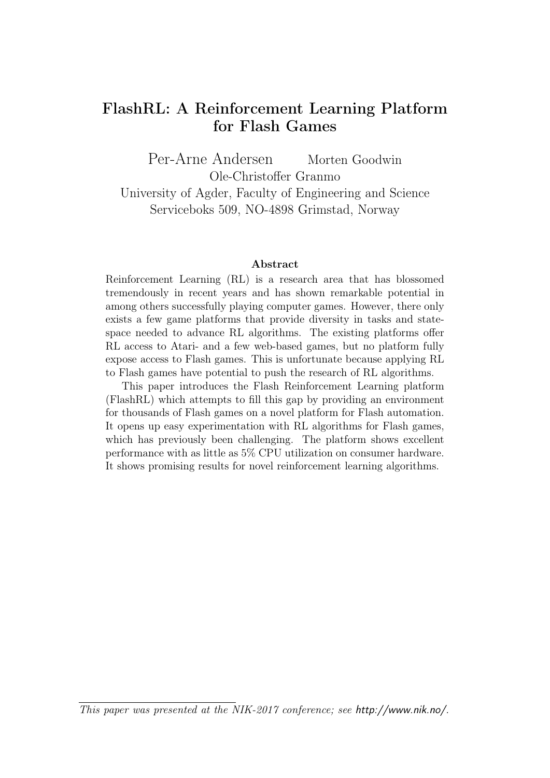## FlashRL: A Reinforcement Learning Platform for Flash Games

Per-Arne Andersen Morten Goodwin Ole-Christoffer Granmo University of Agder, Faculty of Engineering and Science Serviceboks 509, NO-4898 Grimstad, Norway

#### Abstract

Reinforcement Learning (RL) is a research area that has blossomed tremendously in recent years and has shown remarkable potential in among others successfully playing computer games. However, there only exists a few game platforms that provide diversity in tasks and statespace needed to advance RL algorithms. The existing platforms offer RL access to Atari- and a few web-based games, but no platform fully expose access to Flash games. This is unfortunate because applying RL to Flash games have potential to push the research of RL algorithms.

This paper introduces the Flash Reinforcement Learning platform (FlashRL) which attempts to fill this gap by providing an environment for thousands of Flash games on a novel platform for Flash automation. It opens up easy experimentation with RL algorithms for Flash games, which has previously been challenging. The platform shows excellent performance with as little as 5% CPU utilization on consumer hardware. It shows promising results for novel reinforcement learning algorithms.

This paper was presented at the NIK-2017 conference; see http://www.nik.no/.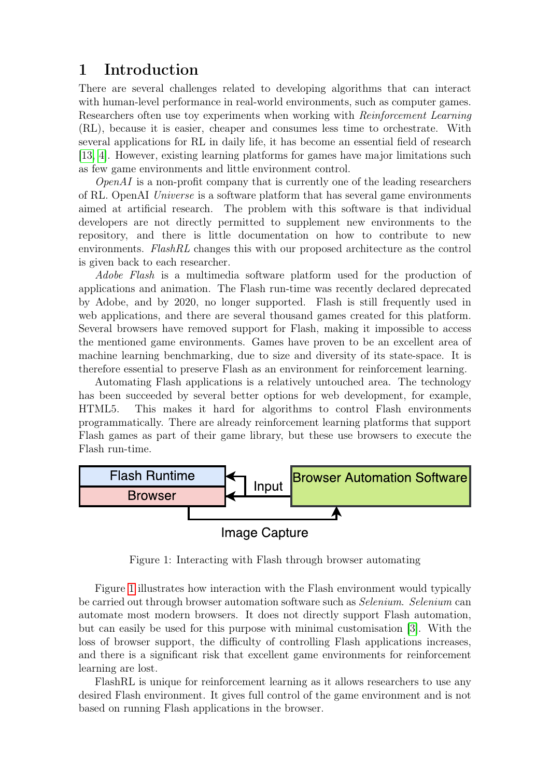## 1 Introduction

There are several challenges related to developing algorithms that can interact with human-level performance in real-world environments, such as computer games. Researchers often use toy experiments when working with Reinforcement Learning (RL), because it is easier, cheaper and consumes less time to orchestrate. With several applications for RL in daily life, it has become an essential field of research [\[13,](#page-10-0) [4\]](#page-10-1). However, existing learning platforms for games have major limitations such as few game environments and little environment control.

 $OpenAI$  is a non-profit company that is currently one of the leading researchers of RL. OpenAI Universe is a software platform that has several game environments aimed at artificial research. The problem with this software is that individual developers are not directly permitted to supplement new environments to the repository, and there is little documentation on how to contribute to new environments. FlashRL changes this with our proposed architecture as the control is given back to each researcher.

Adobe Flash is a multimedia software platform used for the production of applications and animation. The Flash run-time was recently declared deprecated by Adobe, and by 2020, no longer supported. Flash is still frequently used in web applications, and there are several thousand games created for this platform. Several browsers have removed support for Flash, making it impossible to access the mentioned game environments. Games have proven to be an excellent area of machine learning benchmarking, due to size and diversity of its state-space. It is therefore essential to preserve Flash as an environment for reinforcement learning.

Automating Flash applications is a relatively untouched area. The technology has been succeeded by several better options for web development, for example, HTML5. This makes it hard for algorithms to control Flash environments programmatically. There are already reinforcement learning platforms that support Flash games as part of their game library, but these use browsers to execute the Flash run-time.



<span id="page-1-0"></span>Figure 1: Interacting with Flash through browser automating

Figure [1](#page-1-0) illustrates how interaction with the Flash environment would typically be carried out through browser automation software such as Selenium. Selenium can automate most modern browsers. It does not directly support Flash automation, but can easily be used for this purpose with minimal customisation [\[3\]](#page-10-2). With the loss of browser support, the difficulty of controlling Flash applications increases, and there is a significant risk that excellent game environments for reinforcement learning are lost.

FlashRL is unique for reinforcement learning as it allows researchers to use any desired Flash environment. It gives full control of the game environment and is not based on running Flash applications in the browser.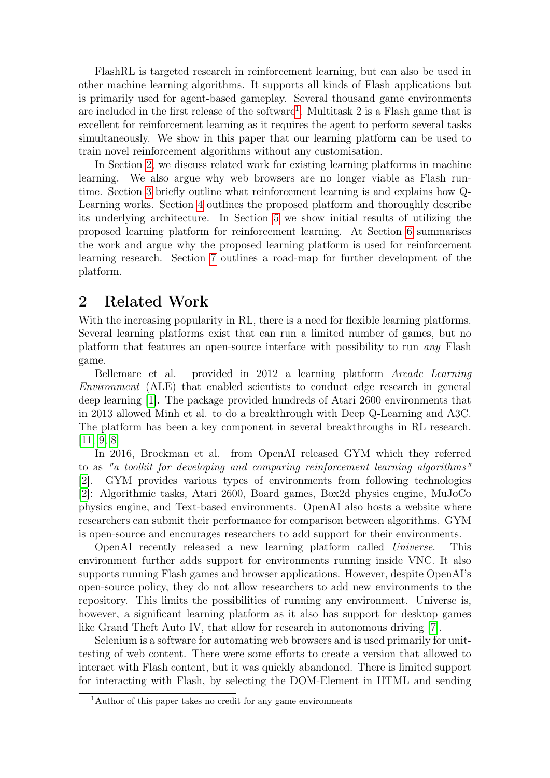FlashRL is targeted research in reinforcement learning, but can also be used in other machine learning algorithms. It supports all kinds of Flash applications but is primarily used for agent-based gameplay. Several thousand game environments are included in the first release of the software<sup>[1](#page-2-0)</sup>. Multitask 2 is a Flash game that is excellent for reinforcement learning as it requires the agent to perform several tasks simultaneously. We show in this paper that our learning platform can be used to train novel reinforcement algorithms without any customisation.

In Section [2,](#page-2-1) we discuss related work for existing learning platforms in machine learning. We also argue why web browsers are no longer viable as Flash runtime. Section [3](#page-3-0) briefly outline what reinforcement learning is and explains how Q-Learning works. Section [4](#page-3-1) outlines the proposed platform and thoroughly describe its underlying architecture. In Section [5](#page-5-0) we show initial results of utilizing the proposed learning platform for reinforcement learning. At Section [6](#page-8-0) summarises the work and argue why the proposed learning platform is used for reinforcement learning research. Section [7](#page-8-1) outlines a road-map for further development of the platform.

### <span id="page-2-1"></span>2 Related Work

With the increasing popularity in RL, there is a need for flexible learning platforms. Several learning platforms exist that can run a limited number of games, but no platform that features an open-source interface with possibility to run any Flash game.

Bellemare et al. provided in 2012 a learning platform Arcade Learning Environment (ALE) that enabled scientists to conduct edge research in general deep learning [\[1\]](#page-10-3). The package provided hundreds of Atari 2600 environments that in 2013 allowed Minh et al. to do a breakthrough with Deep Q-Learning and A3C. The platform has been a key component in several breakthroughs in RL research. [\[11,](#page-10-4) [9,](#page-10-5) [8\]](#page-10-6)

In 2016, Brockman et al. from OpenAI released GYM which they referred to as "a toolkit for developing and comparing reinforcement learning algorithms" [\[2\]](#page-10-7). GYM provides various types of environments from following technologies [\[2\]](#page-10-7): Algorithmic tasks, Atari 2600, Board games, Box2d physics engine, MuJoCo physics engine, and Text-based environments. OpenAI also hosts a website where researchers can submit their performance for comparison between algorithms. GYM is open-source and encourages researchers to add support for their environments.

OpenAI recently released a new learning platform called Universe. This environment further adds support for environments running inside VNC. It also supports running Flash games and browser applications. However, despite OpenAI's open-source policy, they do not allow researchers to add new environments to the repository. This limits the possibilities of running any environment. Universe is, however, a significant learning platform as it also has support for desktop games like Grand Theft Auto IV, that allow for research in autonomous driving [\[7\]](#page-10-8).

Selenium is a software for automating web browsers and is used primarily for unittesting of web content. There were some efforts to create a version that allowed to interact with Flash content, but it was quickly abandoned. There is limited support for interacting with Flash, by selecting the DOM-Element in HTML and sending

<span id="page-2-0"></span><sup>&</sup>lt;sup>1</sup>Author of this paper takes no credit for any game environments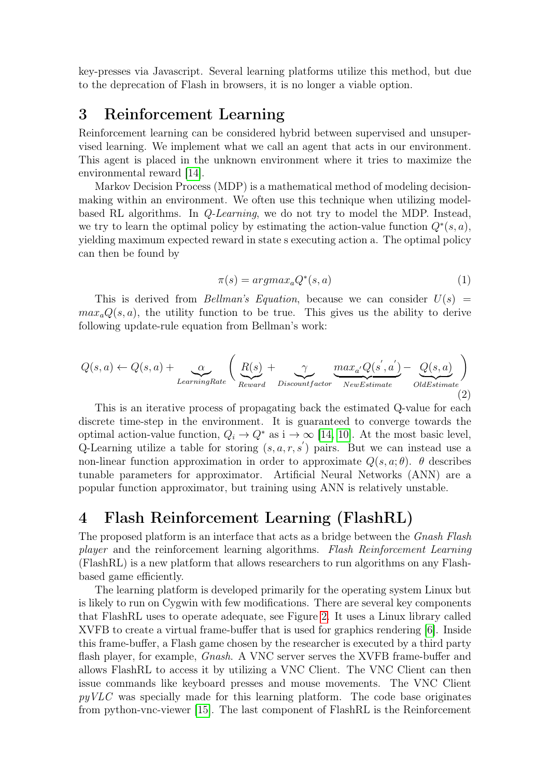key-presses via Javascript. Several learning platforms utilize this method, but due to the deprecation of Flash in browsers, it is no longer a viable option.

### <span id="page-3-0"></span>3 Reinforcement Learning

Reinforcement learning can be considered hybrid between supervised and unsupervised learning. We implement what we call an agent that acts in our environment. This agent is placed in the unknown environment where it tries to maximize the environmental reward [\[14\]](#page-10-9).

Markov Decision Process (MDP) is a mathematical method of modeling decisionmaking within an environment. We often use this technique when utilizing modelbased RL algorithms. In Q-Learning, we do not try to model the MDP. Instead, we try to learn the optimal policy by estimating the action-value function  $Q^*(s, a)$ , yielding maximum expected reward in state s executing action a. The optimal policy can then be found by

$$
\pi(s) = argmax_a Q^*(s, a) \tag{1}
$$

This is derived from *Bellman's Equation*, because we can consider  $U(s)$  $max_a Q(s, a)$ , the utility function to be true. This gives us the ability to derive following update-rule equation from Bellman's work:

$$
Q(s, a) \leftarrow Q(s, a) + \underbrace{\alpha}_{LearningRate} \left( \underbrace{R(s)}_{Reward} + \underbrace{\gamma}_{Discountfactor} \underbrace{max_{a'} Q(s', a')}_{NewEstimate} - \underbrace{Q(s, a)}_{OldEstimate} \right)
$$
\n(2)

This is an iterative process of propagating back the estimated Q-value for each discrete time-step in the environment. It is guaranteed to converge towards the optimal action-value function,  $Q_i \to Q^*$  as  $i \to \infty$  [\[14,](#page-10-9) [10\]](#page-10-10). At the most basic level, Q-Learning utilize a table for storing  $(s, a, r, s')$  pairs. But we can instead use a non-linear function approximation in order to approximate  $Q(s, a; \theta)$ .  $\theta$  describes tunable parameters for approximator. Artificial Neural Networks (ANN) are a popular function approximator, but training using ANN is relatively unstable.

## <span id="page-3-1"></span>4 Flash Reinforcement Learning (FlashRL)

The proposed platform is an interface that acts as a bridge between the *Gnash Flash* player and the reinforcement learning algorithms. Flash Reinforcement Learning (FlashRL) is a new platform that allows researchers to run algorithms on any Flashbased game efficiently.

The learning platform is developed primarily for the operating system Linux but is likely to run on Cygwin with few modifications. There are several key components that FlashRL uses to operate adequate, see Figure [2.](#page-4-0) It uses a Linux library called XVFB to create a virtual frame-buffer that is used for graphics rendering [\[6\]](#page-10-11). Inside this frame-buffer, a Flash game chosen by the researcher is executed by a third party flash player, for example, *Gnash.* A VNC server serves the XVFB frame-buffer and allows FlashRL to access it by utilizing a VNC Client. The VNC Client can then issue commands like keyboard presses and mouse movements. The VNC Client  $p\psi VLC$  was specially made for this learning platform. The code base originates from python-vnc-viewer [\[15\]](#page-10-12). The last component of FlashRL is the Reinforcement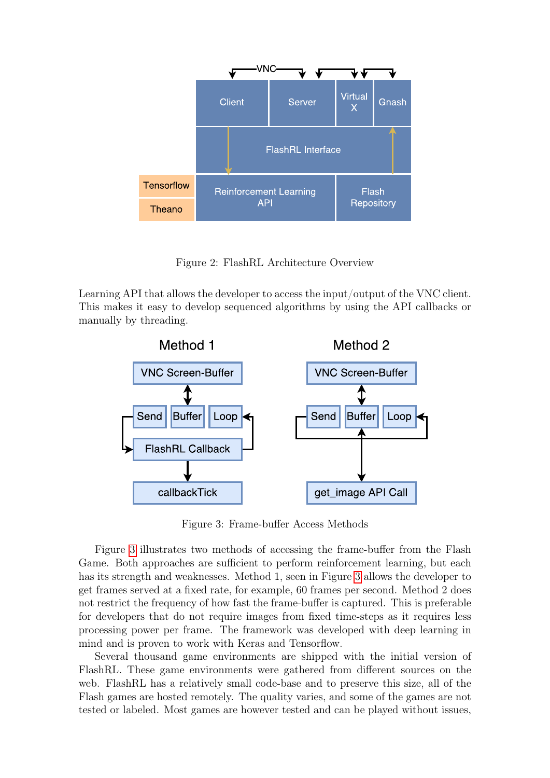

<span id="page-4-0"></span>Figure 2: FlashRL Architecture Overview

Learning API that allows the developer to access the input/output of the VNC client. This makes it easy to develop sequenced algorithms by using the API callbacks or manually by threading.



<span id="page-4-1"></span>Figure 3: Frame-buffer Access Methods

Figure [3](#page-4-1) illustrates two methods of accessing the frame-buffer from the Flash Game. Both approaches are sufficient to perform reinforcement learning, but each has its strength and weaknesses. Method 1, seen in Figure [3](#page-4-1) allows the developer to get frames served at a fixed rate, for example, 60 frames per second. Method 2 does not restrict the frequency of how fast the frame-buffer is captured. This is preferable for developers that do not require images from fixed time-steps as it requires less processing power per frame. The framework was developed with deep learning in mind and is proven to work with Keras and Tensorflow.

Several thousand game environments are shipped with the initial version of FlashRL. These game environments were gathered from different sources on the web. FlashRL has a relatively small code-base and to preserve this size, all of the Flash games are hosted remotely. The quality varies, and some of the games are not tested or labeled. Most games are however tested and can be played without issues,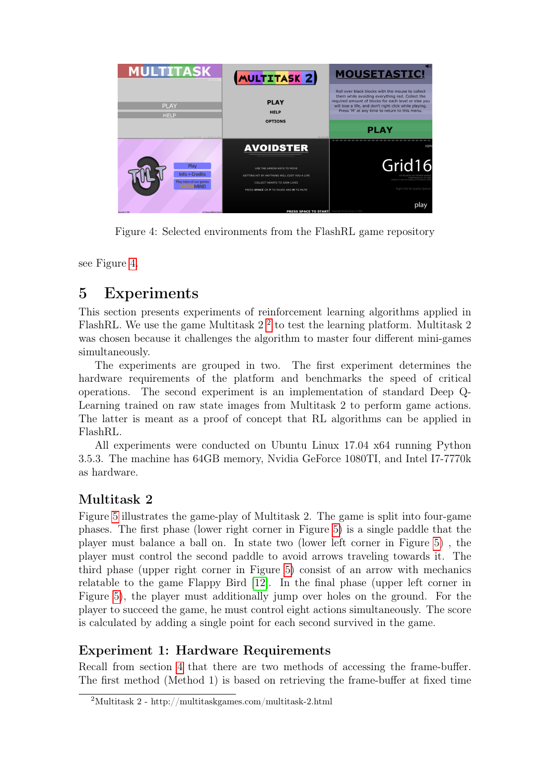

Figure 4: Selected environments from the FlashRL game repository

<span id="page-5-1"></span>see Figure [4.](#page-5-1)

## <span id="page-5-0"></span>5 Experiments

This section presents experiments of reinforcement learning algorithms applied in FlashRL. We use the game Multitask  $2<sup>2</sup>$  $2<sup>2</sup>$  to test the learning platform. Multitask  $2$ was chosen because it challenges the algorithm to master four different mini-games simultaneously.

The experiments are grouped in two. The first experiment determines the hardware requirements of the platform and benchmarks the speed of critical operations. The second experiment is an implementation of standard Deep Q-Learning trained on raw state images from Multitask 2 to perform game actions. The latter is meant as a proof of concept that RL algorithms can be applied in FlashRL.

All experiments were conducted on Ubuntu Linux 17.04 x64 running Python 3.5.3. The machine has 64GB memory, Nvidia GeForce 1080TI, and Intel I7-7770k as hardware.

## <span id="page-5-3"></span>Multitask 2

Figure [5](#page-6-0) illustrates the game-play of Multitask 2. The game is split into four-game phases. The first phase (lower right corner in Figure [5\)](#page-6-0) is a single paddle that the player must balance a ball on. In state two (lower left corner in Figure [5\)](#page-6-0) , the player must control the second paddle to avoid arrows traveling towards it. The third phase (upper right corner in Figure [5\)](#page-6-0) consist of an arrow with mechanics relatable to the game Flappy Bird [\[12\]](#page-10-13). In the final phase (upper left corner in Figure [5\)](#page-6-0), the player must additionally jump over holes on the ground. For the player to succeed the game, he must control eight actions simultaneously. The score is calculated by adding a single point for each second survived in the game.

### Experiment 1: Hardware Requirements

Recall from section [4](#page-3-1) that there are two methods of accessing the frame-buffer. The first method (Method 1) is based on retrieving the frame-buffer at fixed time

<span id="page-5-2"></span><sup>2</sup>Multitask 2 - http://multitaskgames.com/multitask-2.html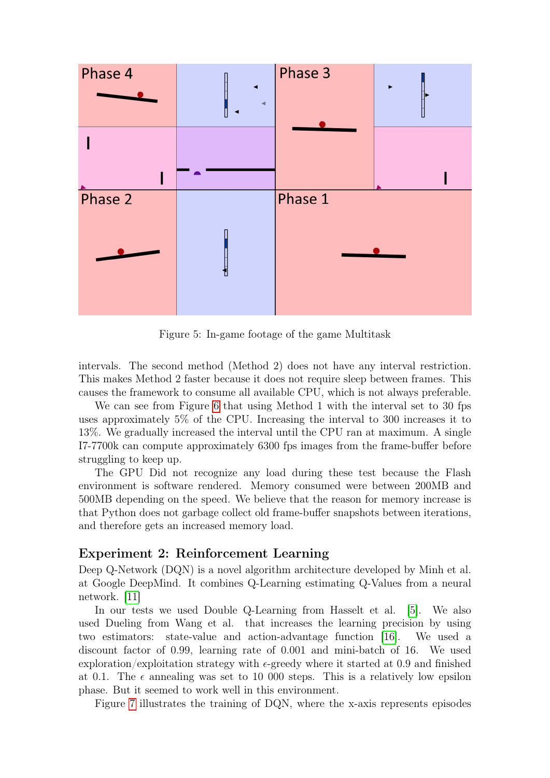

<span id="page-6-0"></span>Figure 5: In-game footage of the game Multitask

intervals. The second method (Method 2) does not have any interval restriction. This makes Method 2 faster because it does not require sleep between frames. This causes the framework to consume all available CPU, which is not always preferable.

We can see from Figure [6](#page-7-0) that using Method 1 with the interval set to 30 fps uses approximately 5% of the CPU. Increasing the interval to 300 increases it to 13%. We gradually increased the interval until the CPU ran at maximum. A single I7-7700k can compute approximately 6300 fps images from the frame-buffer before struggling to keep up.

The GPU Did not recognize any load during these test because the Flash environment is software rendered. Memory consumed were between 200MB and 500MB depending on the speed. We believe that the reason for memory increase is that Python does not garbage collect old frame-buffer snapshots between iterations, and therefore gets an increased memory load.

### Experiment 2: Reinforcement Learning

Deep Q-Network (DQN) is a novel algorithm architecture developed by Minh et al. at Google DeepMind. It combines Q-Learning estimating Q-Values from a neural network. [\[11\]](#page-10-4)

In our tests we used Double Q-Learning from Hasselt et al. [\[5\]](#page-10-14). We also used Dueling from Wang et al. that increases the learning precision by using two estimators: state-value and action-advantage function [\[16\]](#page-10-15). We used a discount factor of 0.99, learning rate of 0.001 and mini-batch of 16. We used exploration/exploitation strategy with  $\epsilon$ -greedy where it started at 0.9 and finished at 0.1. The  $\epsilon$  annealing was set to 10 000 steps. This is a relatively low epsilon phase. But it seemed to work well in this environment.

Figure [7](#page-7-1) illustrates the training of DQN, where the x-axis represents episodes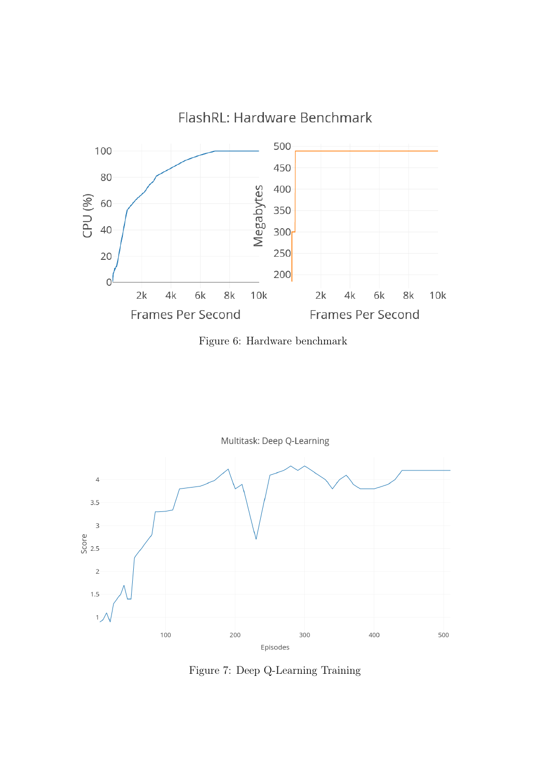

<span id="page-7-0"></span>Figure 6: Hardware benchmark



<span id="page-7-1"></span>Figure 7: Deep Q-Learning Training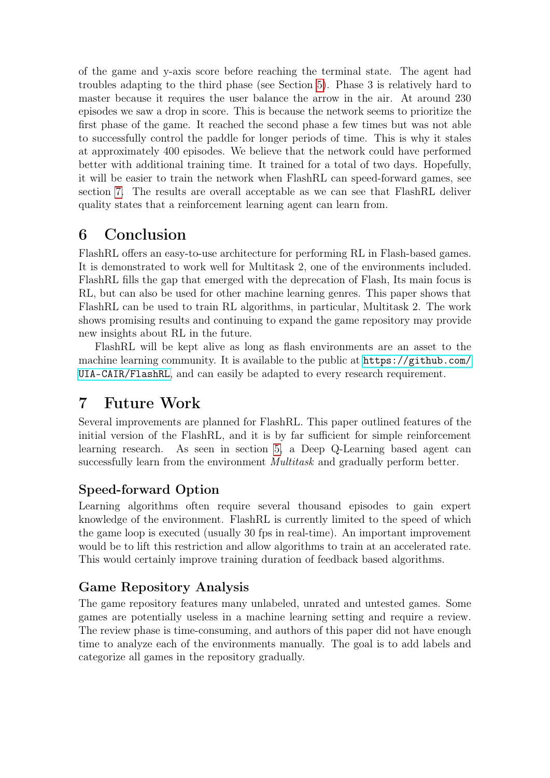of the game and y-axis score before reaching the terminal state. The agent had troubles adapting to the third phase (see Section [5\)](#page-5-3). Phase 3 is relatively hard to master because it requires the user balance the arrow in the air. At around 230 episodes we saw a drop in score. This is because the network seems to prioritize the first phase of the game. It reached the second phase a few times but was not able to successfully control the paddle for longer periods of time. This is why it stales at approximately 400 episodes. We believe that the network could have performed better with additional training time. It trained for a total of two days. Hopefully, it will be easier to train the network when FlashRL can speed-forward games, see section [7.](#page-8-1) The results are overall acceptable as we can see that FlashRL deliver quality states that a reinforcement learning agent can learn from.

## <span id="page-8-0"></span>6 Conclusion

FlashRL offers an easy-to-use architecture for performing RL in Flash-based games. It is demonstrated to work well for Multitask 2, one of the environments included. FlashRL fills the gap that emerged with the deprecation of Flash, Its main focus is RL, but can also be used for other machine learning genres. This paper shows that FlashRL can be used to train RL algorithms, in particular, Multitask 2. The work shows promising results and continuing to expand the game repository may provide new insights about RL in the future.

FlashRL will be kept alive as long as flash environments are an asset to the machine learning community. It is available to the public at  $https://github.com/$ [UIA-CAIR/FlashRL](https://github.com/UIA-CAIR/FlashRL), and can easily be adapted to every research requirement.

# <span id="page-8-1"></span>7 Future Work

Several improvements are planned for FlashRL. This paper outlined features of the initial version of the FlashRL, and it is by far sufficient for simple reinforcement learning research. As seen in section [5,](#page-5-0) a Deep Q-Learning based agent can successfully learn from the environment *Multitask* and gradually perform better.

### Speed-forward Option

Learning algorithms often require several thousand episodes to gain expert knowledge of the environment. FlashRL is currently limited to the speed of which the game loop is executed (usually 30 fps in real-time). An important improvement would be to lift this restriction and allow algorithms to train at an accelerated rate. This would certainly improve training duration of feedback based algorithms.

## Game Repository Analysis

The game repository features many unlabeled, unrated and untested games. Some games are potentially useless in a machine learning setting and require a review. The review phase is time-consuming, and authors of this paper did not have enough time to analyze each of the environments manually. The goal is to add labels and categorize all games in the repository gradually.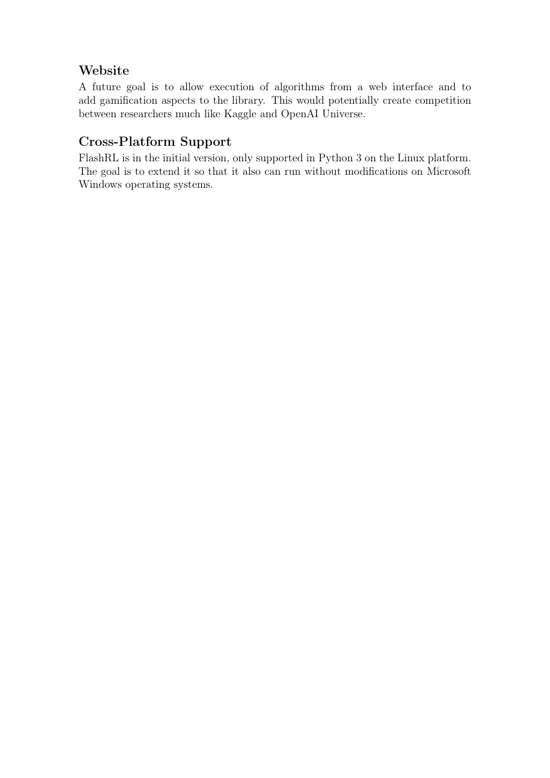### Website

A future goal is to allow execution of algorithms from a web interface and to add gamification aspects to the library. This would potentially create competition between researchers much like Kaggle and OpenAI Universe.

## Cross-Platform Support

FlashRL is in the initial version, only supported in Python 3 on the Linux platform. The goal is to extend it so that it also can run without modifications on Microsoft Windows operating systems.